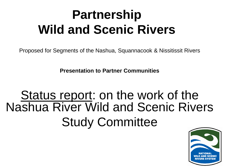# **Partnership Wild and Scenic Rivers**

Proposed for Segments of the Nashua, Squannacook & Nissitissit Rivers

**Presentation to Partner Communities**

# Status report: on the work of the Nashua River Wild and Scenic Rivers Study Committee

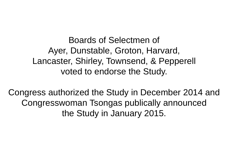Boards of Selectmen of Ayer, Dunstable, Groton, Harvard, Lancaster, Shirley, Townsend, & Pepperell voted to endorse the Study.

Congress authorized the Study in December 2014 and Congresswoman Tsongas publically announced the Study in January 2015.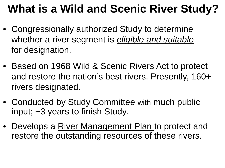# **What is a Wild and Scenic River Study?**

- Congressionally authorized Study to determine whether a river segment is *eligible and suitable* for designation.
- Based on 1968 Wild & Scenic Rivers Act to protect and restore the nation's best rivers. Presently, 160+ rivers designated.
- Conducted by Study Committee with much public input; ~3 years to finish Study.
- Develops a River Management Plan to protect and restore the outstanding resources of these rivers.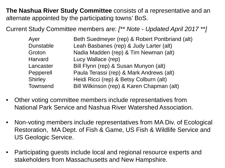**The Nashua River Study Committee** consists of a representative and an alternate appointed by the participating towns' BoS.

Current Study Committee members are: *[\*\* Note - Updated April 2017 \*\*]*

| Ayer             | Beth Suedmeyer (rep) & Robert Pontbriand (alt) |
|------------------|------------------------------------------------|
| <b>Dunstable</b> | Leah Basbanes (rep) & Judy Larter (alt)        |
| Groton           | Nadia Madden (rep) & Tim Newman (alt)          |
| <b>Harvard</b>   | Lucy Wallace (rep)                             |
| Lancaster        | Bill Flynn (rep) & Susan Munyon (alt)          |
| Pepperell        | Paula Terassi (rep) & Mark Andrews (alt)       |
| <b>Shirley</b>   | Heidi Ricci (rep) & Betsy Colburn (alt)        |
| <b>Townsend</b>  | Bill Wilkinson (rep) & Karen Chapman (alt)     |

- Other voting committee members include representatives from National Park Service and Nashua River Watershed Association.
- Non-voting members include representatives from MA Div. of Ecological Restoration, MA Dept. of Fish & Game, US Fish & Wildlife Service and US Geologic Service.
- Participating guests include local and regional resource experts and stakeholders from Massachusetts and New Hampshire.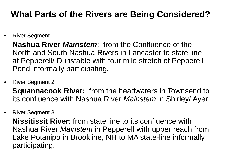## **What Parts of the Rivers are Being Considered?**

• River Segment 1:

**Nashua River** *Mainstem*: from the Confluence of the North and South Nashua Rivers in Lancaster to state line at Pepperell/ Dunstable with four mile stretch of Pepperell Pond informally participating.

• River Segment 2:

**Squannacook River:** from the headwaters in Townsend to its confluence with Nashua River *Mainstem* in Shirley/ Ayer.

• River Segment 3:

**Nissitissit River**: from state line to its confluence with Nashua River *Mainstem* in Pepperell with upper reach from Lake Potanipo in Brookline, NH to MA state-line informally participating.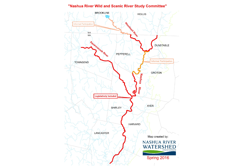#### "Nashua River Wild and Scenic River Study Committee"

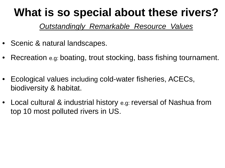## **What is so special about these rivers?**

#### *Outstandingly Remarkable Resource Values*

- Scenic & natural landscapes.
- Recreation e.g: boating, trout stocking, bass fishing tournament.
- Ecological values including cold-water fisheries, ACECs, biodiversity & habitat.
- Local cultural & industrial history e.g: reversal of Nashua from top 10 most polluted rivers in US.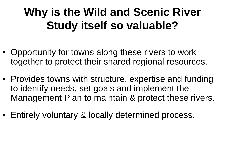# **Why is the Wild and Scenic River Study itself so valuable?**

- Opportunity for towns along these rivers to work together to protect their shared regional resources.
- Provides towns with structure, expertise and funding to identify needs, set goals and implement the Management Plan to maintain & protect these rivers.
- Entirely voluntary & locally determined process.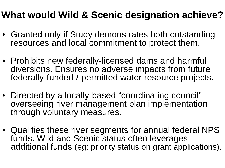## **What would Wild & Scenic designation achieve?**

- Granted only if Study demonstrates both outstanding resources and local commitment to protect them.
- Prohibits new federally-licensed dams and harmful diversions. Ensures no adverse impacts from future federally-funded /-permitted water resource projects.
- Directed by a locally-based "coordinating council" overseeing river management plan implementation through voluntary measures.
- Qualifies these river segments for annual federal NPS funds. Wild and Scenic status often leverages additional funds (eg: priority status on grant applications).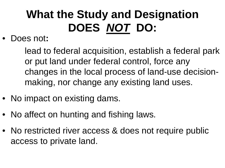# **What the Study and Designation DOES** *NOT* **DO:**

• Does not**:**

lead to federal acquisition, establish a federal park or put land under federal control, force any changes in the local process of land-use decisionmaking, nor change any existing land uses.

- No impact on existing dams.
- No affect on hunting and fishing laws*.*
- No restricted river access & does not require public access to private land.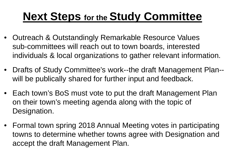# **Next Steps for the Study Committee**

- Outreach & Outstandingly Remarkable Resource Values sub-committees will reach out to town boards, interested individuals & local organizations to gather relevant information.
- Drafts of Study Committee's work--the draft Management Plan- will be publically shared for further input and feedback.
- Each town's BoS must vote to put the draft Management Plan on their town's meeting agenda along with the topic of Designation.
- Formal town spring 2018 Annual Meeting votes in participating towns to determine whether towns agree with Designation and accept the draft Management Plan.